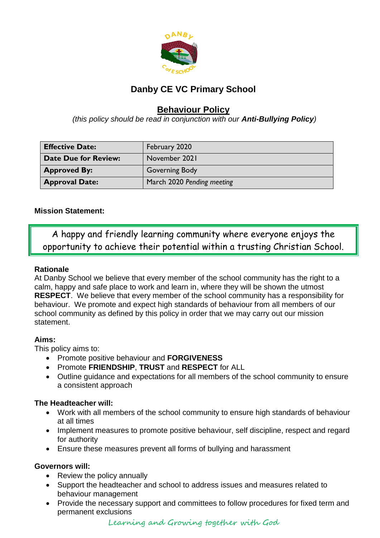

### **Danby CE VC Primary School**

### **Behaviour Policy**

*(this policy should be read in conjunction with our Anti-Bullying Policy)*

| <b>Effective Date:</b>      | February 2020              |
|-----------------------------|----------------------------|
| <b>Date Due for Review:</b> | November 2021              |
| <b>Approved By:</b>         | <b>Governing Body</b>      |
| <b>Approval Date:</b>       | March 2020 Pending meeting |

### **Mission Statement:**

A happy and friendly learning community where everyone enjoys the opportunity to achieve their potential within a trusting Christian School.

### **Rationale**

At Danby School we believe that every member of the school community has the right to a calm, happy and safe place to work and learn in, where they will be shown the utmost **RESPECT**. We believe that every member of the school community has a responsibility for behaviour. We promote and expect high standards of behaviour from all members of our school community as defined by this policy in order that we may carry out our mission statement.

### **Aims:**

This policy aims to:

- Promote positive behaviour and **FORGIVENESS**
- Promote **FRIENDSHIP**, **TRUST** and **RESPECT** for ALL
- Outline guidance and expectations for all members of the school community to ensure a consistent approach

### **The Headteacher will:**

- Work with all members of the school community to ensure high standards of behaviour at all times
- Implement measures to promote positive behaviour, self discipline, respect and regard for authority
- Ensure these measures prevent all forms of bullying and harassment

### **Governors will:**

- Review the policy annually
- Support the headteacher and school to address issues and measures related to behaviour management
- Provide the necessary support and committees to follow procedures for fixed term and permanent exclusions

Learning and Growing together with God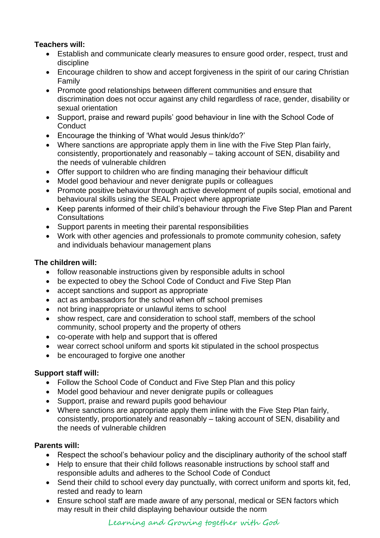### **Teachers will:**

- Establish and communicate clearly measures to ensure good order, respect, trust and discipline
- Encourage children to show and accept forgiveness in the spirit of our caring Christian Family
- Promote good relationships between different communities and ensure that discrimination does not occur against any child regardless of race, gender, disability or sexual orientation
- Support, praise and reward pupils' good behaviour in line with the School Code of **Conduct**
- Encourage the thinking of 'What would Jesus think/do?'
- Where sanctions are appropriate apply them in line with the Five Step Plan fairly, consistently, proportionately and reasonably – taking account of SEN, disability and the needs of vulnerable children
- Offer support to children who are finding managing their behaviour difficult
- Model good behaviour and never denigrate pupils or colleagues
- Promote positive behaviour through active development of pupils social, emotional and behavioural skills using the SEAL Project where appropriate
- Keep parents informed of their child's behaviour through the Five Step Plan and Parent Consultations
- Support parents in meeting their parental responsibilities
- Work with other agencies and professionals to promote community cohesion, safety and individuals behaviour management plans

### **The children will:**

- follow reasonable instructions given by responsible adults in school
- be expected to obey the School Code of Conduct and Five Step Plan
- accept sanctions and support as appropriate
- act as ambassadors for the school when off school premises
- not bring inappropriate or unlawful items to school
- show respect, care and consideration to school staff, members of the school community, school property and the property of others
- co-operate with help and support that is offered
- wear correct school uniform and sports kit stipulated in the school prospectus
- be encouraged to forgive one another

### **Support staff will:**

- Follow the School Code of Conduct and Five Step Plan and this policy
- Model good behaviour and never denigrate pupils or colleagues
- Support, praise and reward pupils good behaviour
- Where sanctions are appropriate apply them inline with the Five Step Plan fairly, consistently, proportionately and reasonably – taking account of SEN, disability and the needs of vulnerable children

### **Parents will:**

- Respect the school's behaviour policy and the disciplinary authority of the school staff
- Help to ensure that their child follows reasonable instructions by school staff and responsible adults and adheres to the School Code of Conduct
- Send their child to school every day punctually, with correct uniform and sports kit, fed, rested and ready to learn
- Ensure school staff are made aware of any personal, medical or SEN factors which may result in their child displaying behaviour outside the norm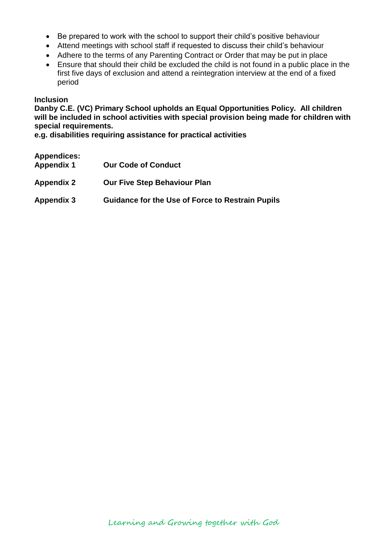- Be prepared to work with the school to support their child's positive behaviour
- Attend meetings with school staff if requested to discuss their child's behaviour
- Adhere to the terms of any Parenting Contract or Order that may be put in place
- Ensure that should their child be excluded the child is not found in a public place in the first five days of exclusion and attend a reintegration interview at the end of a fixed period

### **Inclusion**

**Danby C.E. (VC) Primary School upholds an Equal Opportunities Policy. All children will be included in school activities with special provision being made for children with special requirements.**

**e.g. disabilities requiring assistance for practical activities**

| <b>Appendices:</b><br><b>Appendix 1</b> | <b>Our Code of Conduct</b>                              |
|-----------------------------------------|---------------------------------------------------------|
| Appendix 2                              | <b>Our Five Step Behaviour Plan</b>                     |
| Appendix 3                              | <b>Guidance for the Use of Force to Restrain Pupils</b> |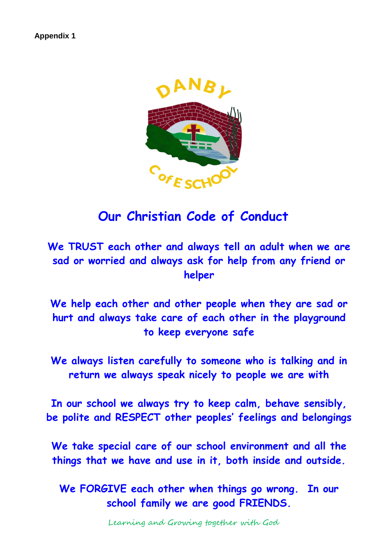

## **Our Christian Code of Conduct**

**We TRUST each other and always tell an adult when we are sad or worried and always ask for help from any friend or helper**

**We help each other and other people when they are sad or hurt and always take care of each other in the playground to keep everyone safe**

**We always listen carefully to someone who is talking and in return we always speak nicely to people we are with**

**In our school we always try to keep calm, behave sensibly, be polite and RESPECT other peoples' feelings and belongings**

**We take special care of our school environment and all the things that we have and use in it, both inside and outside.**

**We FORGIVE each other when things go wrong. In our school family we are good FRIENDS.**

Learning and Growing together with God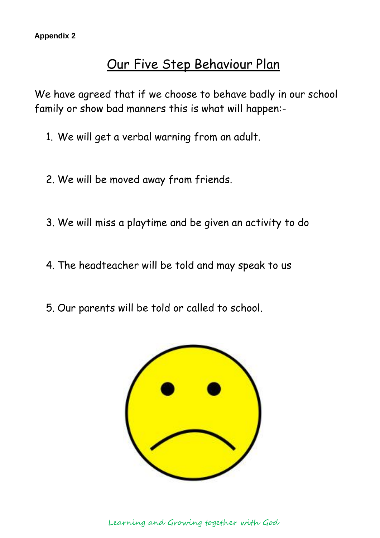## Our Five Step Behaviour Plan

We have agreed that if we choose to behave badly in our school family or show bad manners this is what will happen:-

- 1. We will get a verbal warning from an adult.
- 2. We will be moved away from friends.
- 3. We will miss a playtime and be given an activity to do
- 4. The headteacher will be told and may speak to us
- 5. Our parents will be told or called to school.



Learning and Growing together with God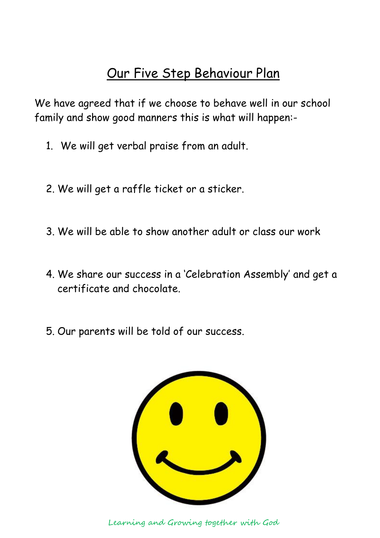# Our Five Step Behaviour Plan

We have agreed that if we choose to behave well in our school family and show good manners this is what will happen:-

- 1. We will get verbal praise from an adult.
- 2. We will get a raffle ticket or a sticker.
- 3. We will be able to show another adult or class our work
- 4. We share our success in a 'Celebration Assembly' and get a certificate and chocolate.
- 5. Our parents will be told of our success.



Learning and Growing together with God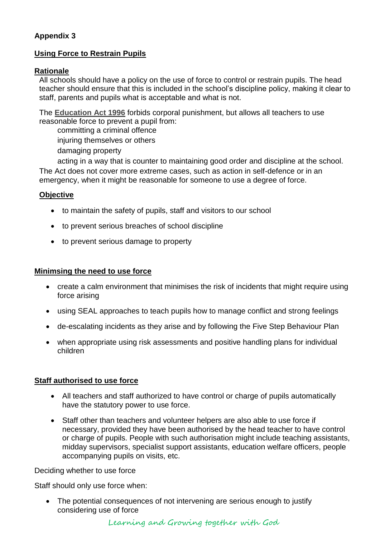### **Appendix 3**

### **Using Force to Restrain Pupils**

### **Rationale**

All schools should have a policy on the use of force to control or restrain pupils. The head teacher should ensure that this is included in the school's discipline policy, making it clear to staff, parents and pupils what is acceptable and what is not.

The **[Education Act 1996](http://www.legislation.hmso.gov.uk/acts/acts1996/96056-zj.htm/t_blank#p10c2)** forbids corporal punishment, but allows all teachers to use reasonable force to prevent a pupil from:

committing a criminal offence injuring themselves or others damaging property

acting in a way that is counter to maintaining good order and discipline at the school. The Act does not cover more extreme cases, such as action in self-defence or in an emergency, when it might be reasonable for someone to use a degree of force.

### **Objective**

- to maintain the safety of pupils, staff and visitors to our school
- to prevent serious breaches of school discipline
- to prevent serious damage to property

### **Minimsing the need to use force**

- create a calm environment that minimises the risk of incidents that might require using force arising
- using SEAL approaches to teach pupils how to manage conflict and strong feelings
- de-escalating incidents as they arise and by following the Five Step Behaviour Plan
- when appropriate using risk assessments and positive handling plans for individual children

### **Staff authorised to use force**

- All teachers and staff authorized to have control or charge of pupils automatically have the statutory power to use force.
- Staff other than teachers and volunteer helpers are also able to use force if necessary, provided they have been authorised by the head teacher to have control or charge of pupils. People with such authorisation might include teaching assistants, midday supervisors, specialist support assistants, education welfare officers, people accompanying pupils on visits, etc.

Deciding whether to use force

Staff should only use force when:

• The potential consequences of not intervening are serious enough to justify considering use of force

Learning and Growing together with God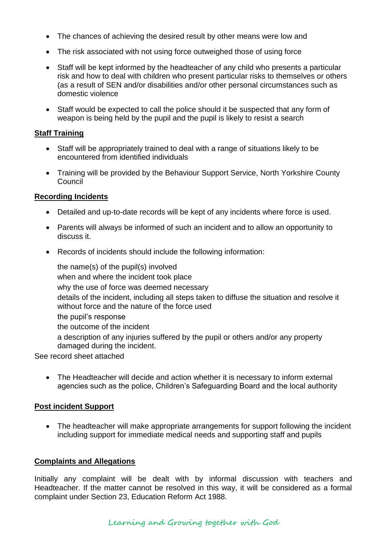- The chances of achieving the desired result by other means were low and
- The risk associated with not using force outweighed those of using force
- Staff will be kept informed by the headteacher of any child who presents a particular risk and how to deal with children who present particular risks to themselves or others (as a result of SEN and/or disabilities and/or other personal circumstances such as domestic violence
- Staff would be expected to call the police should it be suspected that any form of weapon is being held by the pupil and the pupil is likely to resist a search

### **Staff Training**

- Staff will be appropriately trained to deal with a range of situations likely to be encountered from identified individuals
- Training will be provided by the Behaviour Support Service, North Yorkshire County Council

### **Recording Incidents**

- Detailed and up-to-date records will be kept of any incidents where force is used.
- Parents will always be informed of such an incident and to allow an opportunity to discuss it.
- Records of incidents should include the following information:

the name(s) of the pupil(s) involved when and where the incident took place why the use of force was deemed necessary details of the incident, including all steps taken to diffuse the situation and resolve it without force and the nature of the force used the pupil's response the outcome of the incident a description of any injuries suffered by the pupil or others and/or any property damaged during the incident. See record sheet attached

• The Headteacher will decide and action whether it is necessary to inform external agencies such as the police, Children's Safeguarding Board and the local authority

### **Post incident Support**

• The headteacher will make appropriate arrangements for support following the incident including support for immediate medical needs and supporting staff and pupils

### **Complaints and Allegations**

Initially any complaint will be dealt with by informal discussion with teachers and Headteacher. If the matter cannot be resolved in this way, it will be considered as a formal complaint under Section 23, Education Reform Act 1988.